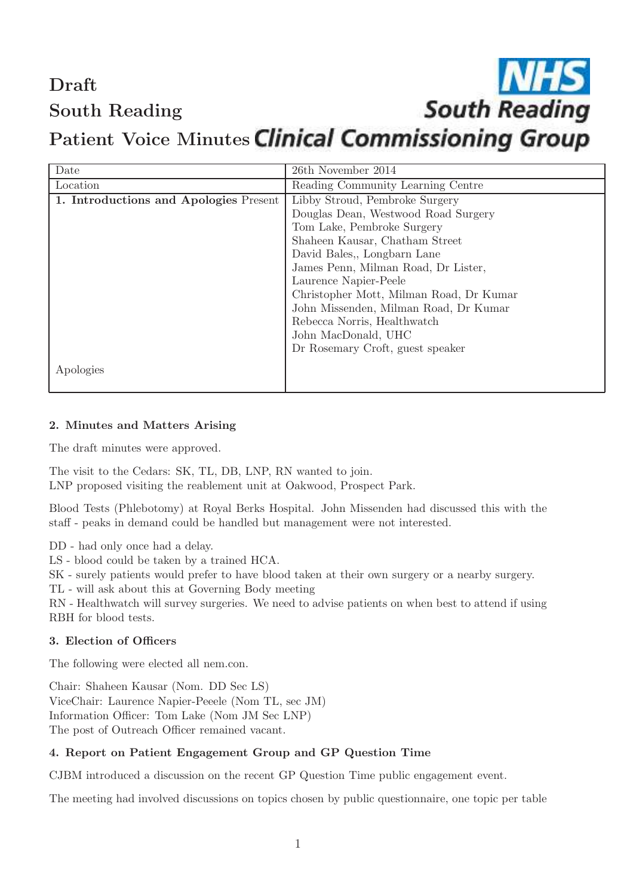# Draft South Reading

# Patient Voice Minutes Clinical Commissioning Group

**South Reading** 

| Date                                   | 26th November 2014                      |
|----------------------------------------|-----------------------------------------|
| Location                               | Reading Community Learning Centre       |
| 1. Introductions and Apologies Present | Libby Stroud, Pembroke Surgery          |
|                                        | Douglas Dean, Westwood Road Surgery     |
|                                        | Tom Lake, Pembroke Surgery              |
|                                        | Shaheen Kausar, Chatham Street          |
|                                        | David Bales, Longbarn Lane              |
|                                        | James Penn, Milman Road, Dr Lister,     |
|                                        | Laurence Napier-Peele                   |
|                                        | Christopher Mott, Milman Road, Dr Kumar |
|                                        | John Missenden, Milman Road, Dr Kumar   |
|                                        | Rebecca Norris, Healthwatch             |
|                                        | John MacDonald, UHC                     |
|                                        | Dr Rosemary Croft, guest speaker        |
| Apologies                              |                                         |

#### 2. Minutes and Matters Arising

The draft minutes were approved.

The visit to the Cedars: SK, TL, DB, LNP, RN wanted to join. LNP proposed visiting the reablement unit at Oakwood, Prospect Park.

Blood Tests (Phlebotomy) at Royal Berks Hospital. John Missenden had discussed this with the staff - peaks in demand could be handled but management were not interested.

DD - had only once had a delay.

LS - blood could be taken by a trained HCA.

SK - surely patients would prefer to have blood taken at their own surgery or a nearby surgery.

TL - will ask about this at Governing Body meeting

RN - Healthwatch will survey surgeries. We need to advise patients on when best to attend if using RBH for blood tests.

#### 3. Election of Officers

The following were elected all nem.con.

Chair: Shaheen Kausar (Nom. DD Sec LS) ViceChair: Laurence Napier-Peeele (Nom TL, sec JM) Information Officer: Tom Lake (Nom JM Sec LNP) The post of Outreach Officer remained vacant.

#### 4. Report on Patient Engagement Group and GP Question Time

CJBM introduced a discussion on the recent GP Question Time public engagement event.

The meeting had involved discussions on topics chosen by public questionnaire, one topic per table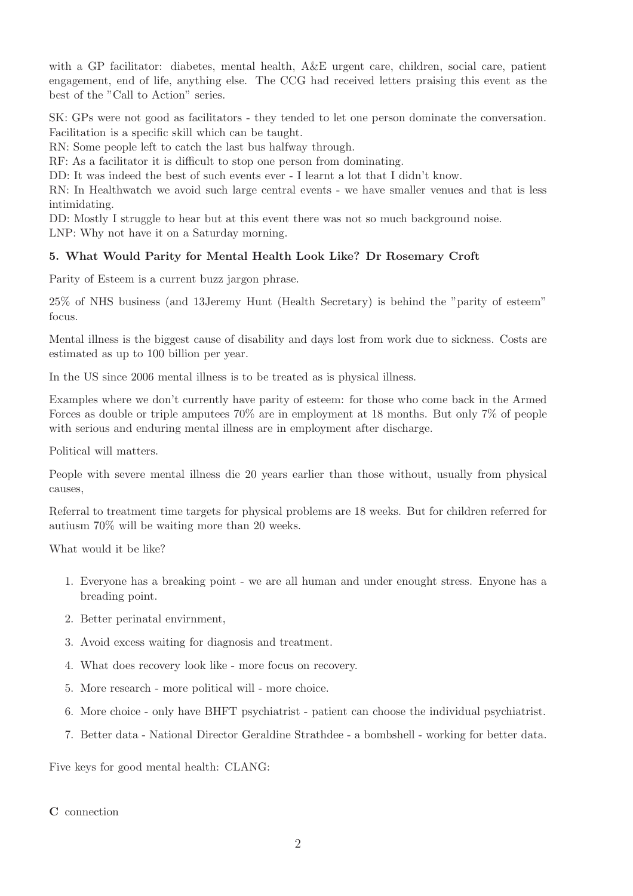with a GP facilitator: diabetes, mental health,  $A\&E$  urgent care, children, social care, patient engagement, end of life, anything else. The CCG had received letters praising this event as the best of the "Call to Action" series.

SK: GPs were not good as facilitators - they tended to let one person dominate the conversation. Facilitation is a specific skill which can be taught.

RN: Some people left to catch the last bus halfway through.

RF: As a facilitator it is difficult to stop one person from dominating.

DD: It was indeed the best of such events ever - I learnt a lot that I didn't know.

RN: In Healthwatch we avoid such large central events - we have smaller venues and that is less intimidating.

DD: Mostly I struggle to hear but at this event there was not so much background noise. LNP: Why not have it on a Saturday morning.

# 5. What Would Parity for Mental Health Look Like? Dr Rosemary Croft

Parity of Esteem is a current buzz jargon phrase.

25% of NHS business (and 13Jeremy Hunt (Health Secretary) is behind the "parity of esteem" focus.

Mental illness is the biggest cause of disability and days lost from work due to sickness. Costs are estimated as up to 100 billion per year.

In the US since 2006 mental illness is to be treated as is physical illness.

Examples where we don't currently have parity of esteem: for those who come back in the Armed Forces as double or triple amputees 70% are in employment at 18 months. But only 7% of people with serious and enduring mental illness are in employment after discharge.

Political will matters.

People with severe mental illness die 20 years earlier than those without, usually from physical causes,

Referral to treatment time targets for physical problems are 18 weeks. But for children referred for autiusm 70% will be waiting more than 20 weeks.

What would it be like?

- 1. Everyone has a breaking point we are all human and under enought stress. Enyone has a breading point.
- 2. Better perinatal envirnment,
- 3. Avoid excess waiting for diagnosis and treatment.
- 4. What does recovery look like more focus on recovery.
- 5. More research more political will more choice.
- 6. More choice only have BHFT psychiatrist patient can choose the individual psychiatrist.
- 7. Better data National Director Geraldine Strathdee a bombshell working for better data.

Five keys for good mental health: CLANG:

C connection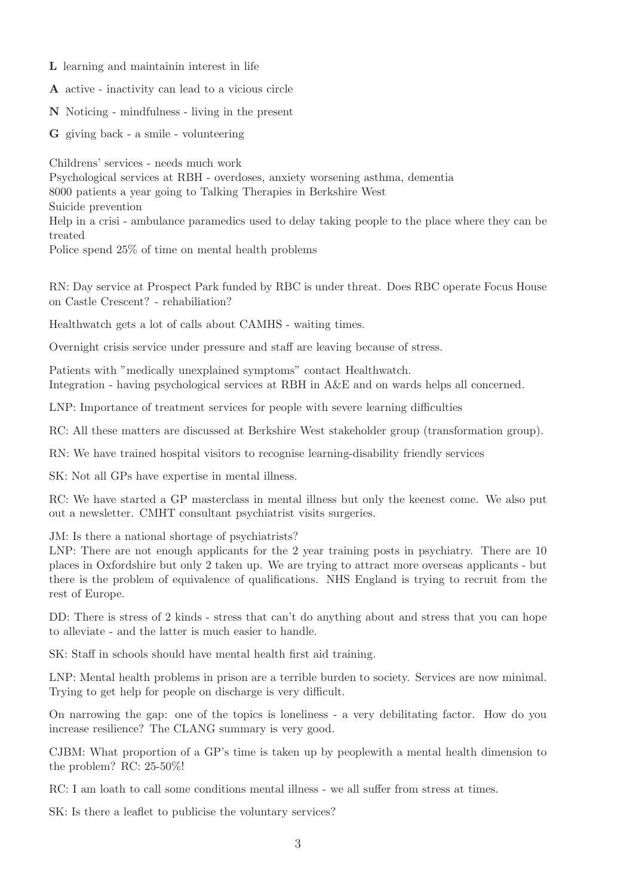- L learning and maintainin interest in life
- A active inactivity can lead to a vicious circle
- N Noticing mindfulness living in the present
- G giving back a smile volunteering

Childrens' services - needs much work

Psychological services at RBH - overdoses, anxiety worsening asthma, dementia 8000 patients a year going to Talking Therapies in Berkshire West Suicide prevention Help in a crisi - ambulance paramedics used to delay taking people to the place where they can be treated Police spend 25% of time on mental health problems

RN: Day service at Prospect Park funded by RBC is under threat. Does RBC operate Focus House on Castle Crescent? - rehabiliation?

Healthwatch gets a lot of calls about CAMHS - waiting times.

Overnight crisis service under pressure and staff are leaving because of stress.

Patients with "medically unexplained symptoms" contact Healthwatch. Integration - having psychological services at RBH in A&E and on wards helps all concerned.

LNP: Importance of treatment services for people with severe learning difficulties

RC: All these matters are discussed at Berkshire West stakeholder group (transformation group).

RN: We have trained hospital visitors to recognise learning-disability friendly services

SK: Not all GPs have expertise in mental illness.

RC: We have started a GP masterclass in mental illness but only the keenest come. We also put out a newsletter. CMHT consultant psychiatrist visits surgeries.

JM: Is there a national shortage of psychiatrists?

LNP: There are not enough applicants for the 2 year training posts in psychiatry. There are 10 places in Oxfordshire but only 2 taken up. We are trying to attract more overseas applicants - but there is the problem of equivalence of qualifications. NHS England is trying to recruit from the rest of Europe.

DD: There is stress of 2 kinds - stress that can't do anything about and stress that you can hope to alleviate - and the latter is much easier to handle.

SK: Staff in schools should have mental health first aid training.

LNP: Mental health problems in prison are a terrible burden to society. Services are now minimal. Trying to get help for people on discharge is very difficult.

On narrowing the gap: one of the topics is loneliness - a very debilitating factor. How do you increase resilience? The CLANG summary is very good.

CJBM: What proportion of a GP's time is taken up by peoplewith a mental health dimension to the problem? RC: 25-50%!

RC: I am loath to call some conditions mental illness - we all suffer from stress at times.

SK: Is there a leaflet to publicise the voluntary services?